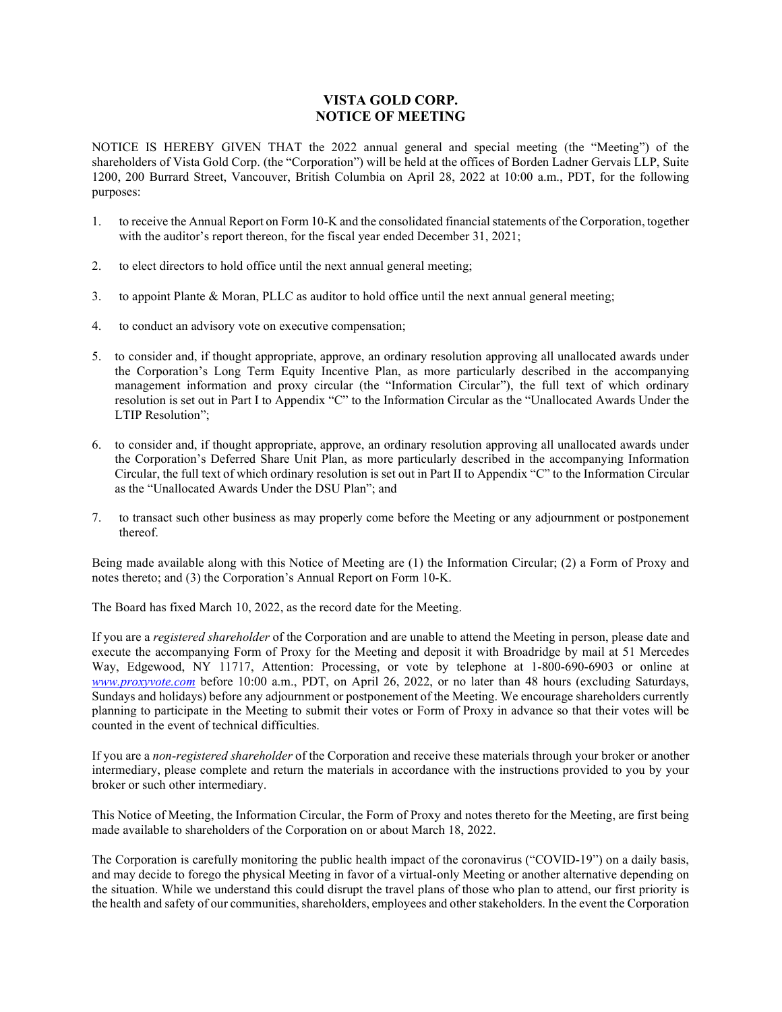## VISTA GOLD CORP. NOTICE OF MEETING

NOTICE IS HEREBY GIVEN THAT the 2022 annual general and special meeting (the "Meeting") of the shareholders of Vista Gold Corp. (the "Corporation") will be held at the offices of Borden Ladner Gervais LLP, Suite 1200, 200 Burrard Street, Vancouver, British Columbia on April 28, 2022 at 10:00 a.m., PDT, for the following purposes:

- 1. to receive the Annual Report on Form 10-K and the consolidated financial statements of the Corporation, together with the auditor's report thereon, for the fiscal year ended December 31, 2021;
- 2. to elect directors to hold office until the next annual general meeting;
- 3. to appoint Plante & Moran, PLLC as auditor to hold office until the next annual general meeting;
- 4. to conduct an advisory vote on executive compensation;
- 5. to consider and, if thought appropriate, approve, an ordinary resolution approving all unallocated awards under the Corporation's Long Term Equity Incentive Plan, as more particularly described in the accompanying management information and proxy circular (the "Information Circular"), the full text of which ordinary resolution is set out in Part I to Appendix "C" to the Information Circular as the "Unallocated Awards Under the LTIP Resolution";
- 6. to consider and, if thought appropriate, approve, an ordinary resolution approving all unallocated awards under the Corporation's Deferred Share Unit Plan, as more particularly described in the accompanying Information Circular, the full text of which ordinary resolution is set out in Part II to Appendix "C" to the Information Circular as the "Unallocated Awards Under the DSU Plan"; and
- 7. to transact such other business as may properly come before the Meeting or any adjournment or postponement thereof.

Being made available along with this Notice of Meeting are (1) the Information Circular; (2) a Form of Proxy and notes thereto; and (3) the Corporation's Annual Report on Form 10-K.

The Board has fixed March 10, 2022, as the record date for the Meeting.

If you are a *registered shareholder* of the Corporation and are unable to attend the Meeting in person, please date and execute the accompanying Form of Proxy for the Meeting and deposit it with Broadridge by mail at 51 Mercedes Way, Edgewood, NY 11717, Attention: Processing, or vote by telephone at 1-800-690-6903 or online at www.proxyvote.com before 10:00 a.m., PDT, on April 26, 2022, or no later than 48 hours (excluding Saturdays, Sundays and holidays) before any adjournment or postponement of the Meeting. We encourage shareholders currently planning to participate in the Meeting to submit their votes or Form of Proxy in advance so that their votes will be counted in the event of technical difficulties.

If you are a non-registered shareholder of the Corporation and receive these materials through your broker or another intermediary, please complete and return the materials in accordance with the instructions provided to you by your broker or such other intermediary.

This Notice of Meeting, the Information Circular, the Form of Proxy and notes thereto for the Meeting, are first being made available to shareholders of the Corporation on or about March 18, 2022.

The Corporation is carefully monitoring the public health impact of the coronavirus ("COVID-19") on a daily basis, and may decide to forego the physical Meeting in favor of a virtual-only Meeting or another alternative depending on the situation. While we understand this could disrupt the travel plans of those who plan to attend, our first priority is the health and safety of our communities, shareholders, employees and other stakeholders. In the event the Corporation